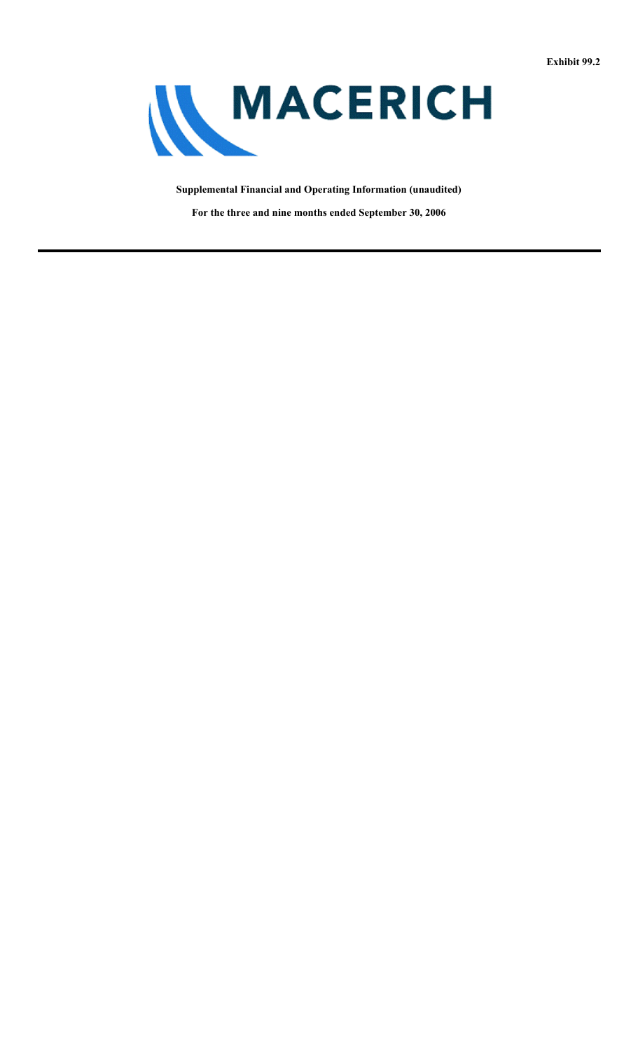

**Supplemental Financial and Operating Information (unaudited)**

**For the three and nine months ended September 30, 2006**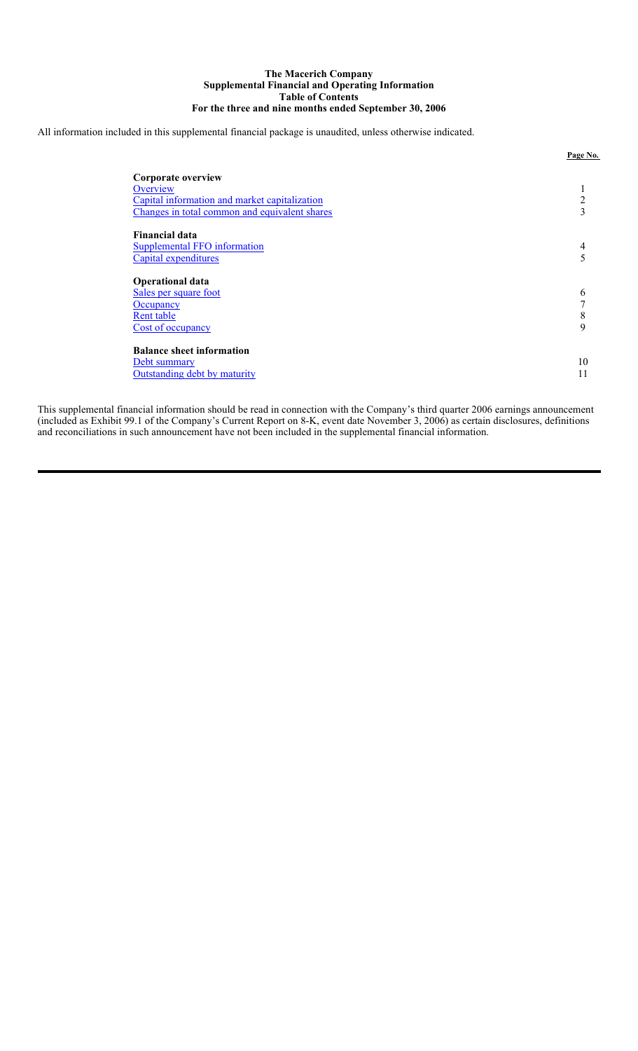### **The Macerich Company Supplemental Financial and Operating Information Table of Contents For the three and nine months ended September 30, 2006**

All information included in this supplemental financial package is unaudited, unless otherwise indicated.

| Corporate overview<br>Overview<br>Capital information and market capitalization<br>Changes in total common and equivalent shares | ı.<br>$\overline{2}$<br>3   |
|----------------------------------------------------------------------------------------------------------------------------------|-----------------------------|
| <b>Financial data</b><br><b>Supplemental FFO information</b><br>Capital expenditures                                             | 4<br>5                      |
| <b>Operational data</b><br>Sales per square foot<br>Occupancy<br>Rent table<br>Cost of occupancy                                 | 6<br>$\mathbf{r}$<br>8<br>9 |
| <b>Balance sheet information</b><br>Debt summary<br>Outstanding debt by maturity                                                 | 10                          |

**Page No.**

This supplemental financial information should be read in connection with the Company's third quarter 2006 earnings announcement (included as Exhibit 99.1 of the Company's Current Report on 8-K, event date November 3, 2006) as certain disclosures, definitions and reconciliations in such announcement have not been included in the supplemental financial information.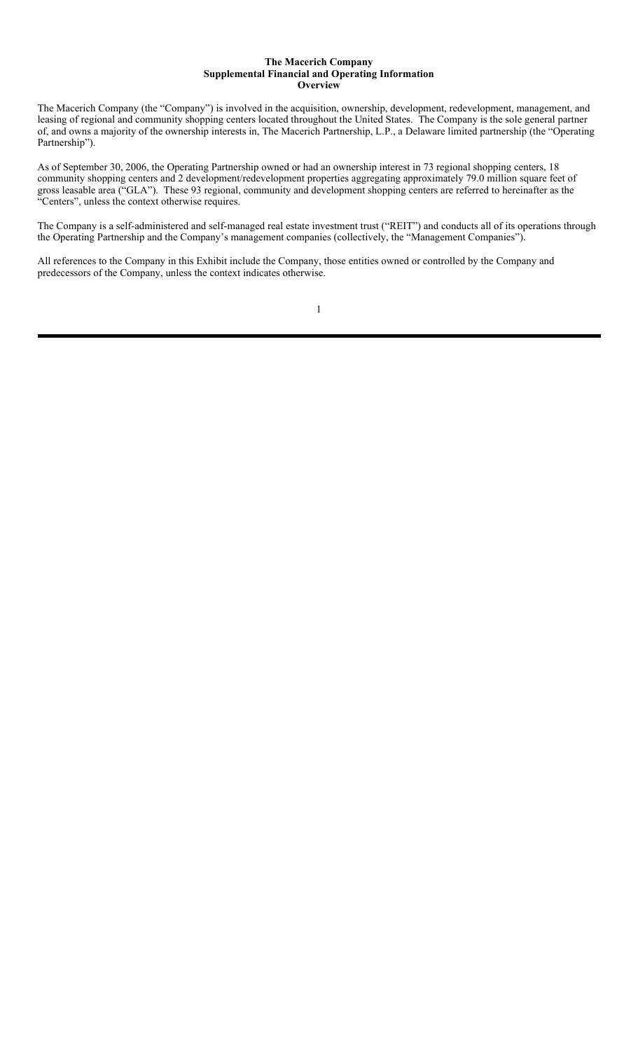### **The Macerich Company Supplemental Financial and Operating Information Overview**

The Macerich Company (the "Company") is involved in the acquisition, ownership, development, redevelopment, management, and leasing of regional and community shopping centers located throughout the United States. The Company is the sole general partner of, and owns a majority of the ownership interests in, The Macerich Partnership, L.P., a Delaware limited partnership (the "Operating Partnership").

As of September 30, 2006, the Operating Partnership owned or had an ownership interest in 73 regional shopping centers, 18 community shopping centers and 2 development/redevelopment properties aggregating approximately 79.0 million square feet of gross leasable area ("GLA"). These 93 regional, community and development shopping centers are referred to hereinafter as the "Centers", unless the context otherwise requires.

The Company is a self-administered and self-managed real estate investment trust ("REIT") and conducts all of its operations through the Operating Partnership and the Company's management companies (collectively, the "Management Companies").

All references to the Company in this Exhibit include the Company, those entities owned or controlled by the Company and predecessors of the Company, unless the context indicates otherwise.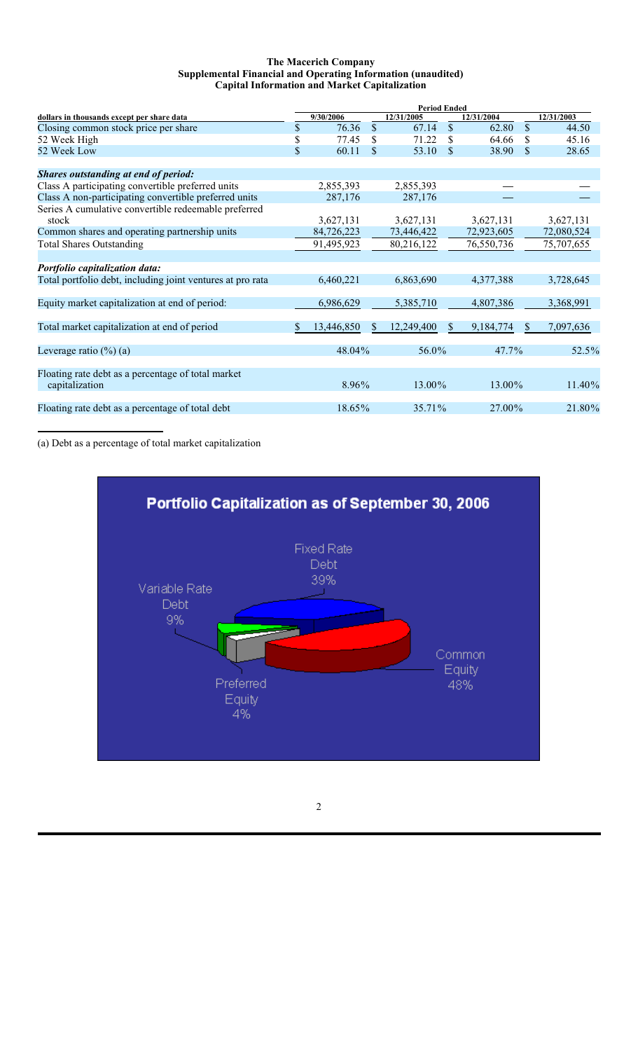### **The Macerich Company Supplemental Financial and Operating Information (unaudited) Capital Information and Market Capitalization**

|                                                            | <b>Period Ended</b> |            |               |            |                    |             |                           |            |
|------------------------------------------------------------|---------------------|------------|---------------|------------|--------------------|-------------|---------------------------|------------|
| dollars in thousands except per share data                 |                     | 9/30/2006  |               | 12/31/2005 |                    | 12/31/2004  |                           | 12/31/2003 |
| Closing common stock price per share                       | \$                  | 76.36      | $\mathcal{S}$ | 67.14      | $\mathbf{\hat{S}}$ | 62.80       | $\boldsymbol{\mathsf{S}}$ | 44.50      |
| 52 Week High                                               | \$                  | 77.45      | \$.           | 71.22      | S                  | 64.66       | S                         | 45.16      |
| 52 Week Low                                                | \$                  | 60.11      | <b>S</b>      | 53.10      | <sup>S</sup>       | 38.90       | \$                        | 28.65      |
| Shares outstanding at end of period:                       |                     |            |               |            |                    |             |                           |            |
| Class A participating convertible preferred units          |                     | 2,855,393  |               | 2,855,393  |                    |             |                           |            |
| Class A non-participating convertible preferred units      |                     | 287,176    |               | 287,176    |                    |             |                           |            |
| Series A cumulative convertible redeemable preferred       |                     |            |               |            |                    |             |                           |            |
| stock                                                      |                     | 3,627,131  |               | 3,627,131  |                    | 3,627,131   |                           | 3,627,131  |
| Common shares and operating partnership units              |                     | 84,726,223 |               | 73,446,422 |                    | 72,923,605  |                           | 72,080,524 |
| <b>Total Shares Outstanding</b>                            |                     | 91,495,923 |               | 80,216,122 |                    | 76,550,736  |                           | 75,707,655 |
|                                                            |                     |            |               |            |                    |             |                           |            |
| Portfolio capitalization data:                             |                     |            |               |            |                    |             |                           |            |
| Total portfolio debt, including joint ventures at pro rata |                     | 6,460,221  |               | 6,863,690  |                    | 4,377,388   |                           | 3,728,645  |
| Equity market capitalization at end of period:             |                     | 6,986,629  |               | 5,385,710  |                    | 4,807,386   |                           | 3,368,991  |
|                                                            |                     |            |               |            |                    |             |                           |            |
| Total market capitalization at end of period               | \$                  | 13,446,850 | <sup>S</sup>  | 12,249,400 | <sup>S</sup>       | 9, 184, 774 | <sup>S</sup>              | 7,097,636  |
| Leverage ratio $(\frac{6}{6})$ (a)                         |                     | 48.04%     |               | 56.0%      |                    | 47.7%       |                           | 52.5%      |
|                                                            |                     |            |               |            |                    |             |                           |            |
| Floating rate debt as a percentage of total market         |                     |            |               |            |                    |             |                           |            |
| capitalization                                             |                     | $8.96\%$   |               | 13.00%     |                    | 13.00%      |                           | 11.40%     |
| Floating rate debt as a percentage of total debt           |                     | 18.65%     |               | 35.71%     |                    | 27.00%      |                           | 21.80%     |
|                                                            |                     |            |               |            |                    |             |                           |            |

(a) Debt as a percentage of total market capitalization

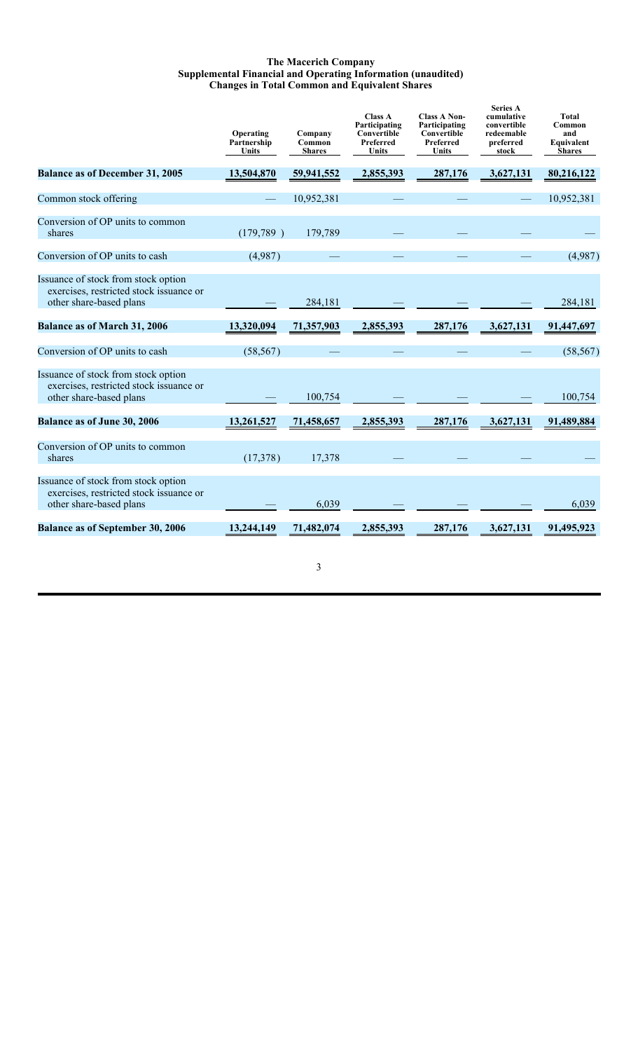### **The Macerich Company Supplemental Financial and Operating Information (unaudited) Changes in Total Common and Equivalent Shares**

|                                                                                                           | Operating<br>Partnership<br>Units | Company<br>Common<br><b>Shares</b> | <b>Class A</b><br>Participating<br>Convertible<br>Preferred<br>Units | <b>Class A Non-</b><br>Participating<br>Convertible<br>Preferred<br>Units | <b>Series A</b><br>cumulative<br>convertible<br>redeemable<br>preferred<br>stock | Total<br>Common<br>and<br>Equivalent<br><b>Shares</b> |
|-----------------------------------------------------------------------------------------------------------|-----------------------------------|------------------------------------|----------------------------------------------------------------------|---------------------------------------------------------------------------|----------------------------------------------------------------------------------|-------------------------------------------------------|
| <b>Balance as of December 31, 2005</b>                                                                    | 13,504,870                        | 59,941,552                         | 2,855,393                                                            | 287,176                                                                   | 3,627,131                                                                        | 80,216,122                                            |
| Common stock offering                                                                                     |                                   | 10,952,381                         |                                                                      |                                                                           |                                                                                  | 10,952,381                                            |
| Conversion of OP units to common<br>shares                                                                | (179, 789)                        | 179,789                            |                                                                      |                                                                           |                                                                                  |                                                       |
| Conversion of OP units to cash                                                                            | (4,987)                           |                                    |                                                                      |                                                                           |                                                                                  | (4,987)                                               |
| Issuance of stock from stock option<br>exercises, restricted stock issuance or<br>other share-based plans |                                   | 284,181                            |                                                                      |                                                                           |                                                                                  | 284,181                                               |
| <b>Balance as of March 31, 2006</b>                                                                       | 13,320,094                        | 71,357,903                         | 2,855,393                                                            | 287,176                                                                   | 3,627,131                                                                        | 91,447,697                                            |
| Conversion of OP units to cash                                                                            | (58, 567)                         |                                    |                                                                      |                                                                           |                                                                                  | (58, 567)                                             |
| Issuance of stock from stock option<br>exercises, restricted stock issuance or<br>other share-based plans |                                   | 100,754                            |                                                                      |                                                                           |                                                                                  | 100,754                                               |
| Balance as of June 30, 2006                                                                               | 13,261,527                        | 71,458,657                         | 2,855,393                                                            | 287,176                                                                   | 3,627,131                                                                        | 91,489,884                                            |
| Conversion of OP units to common<br>shares                                                                | (17,378)                          | 17,378                             |                                                                      |                                                                           |                                                                                  |                                                       |
| Issuance of stock from stock option<br>exercises, restricted stock issuance or<br>other share-based plans |                                   | 6,039                              |                                                                      |                                                                           |                                                                                  | 6,039                                                 |
| <b>Balance as of September 30, 2006</b>                                                                   | 13,244,149                        | 71,482,074                         | 2,855,393                                                            | 287,176                                                                   | 3,627,131                                                                        | 91,495,923                                            |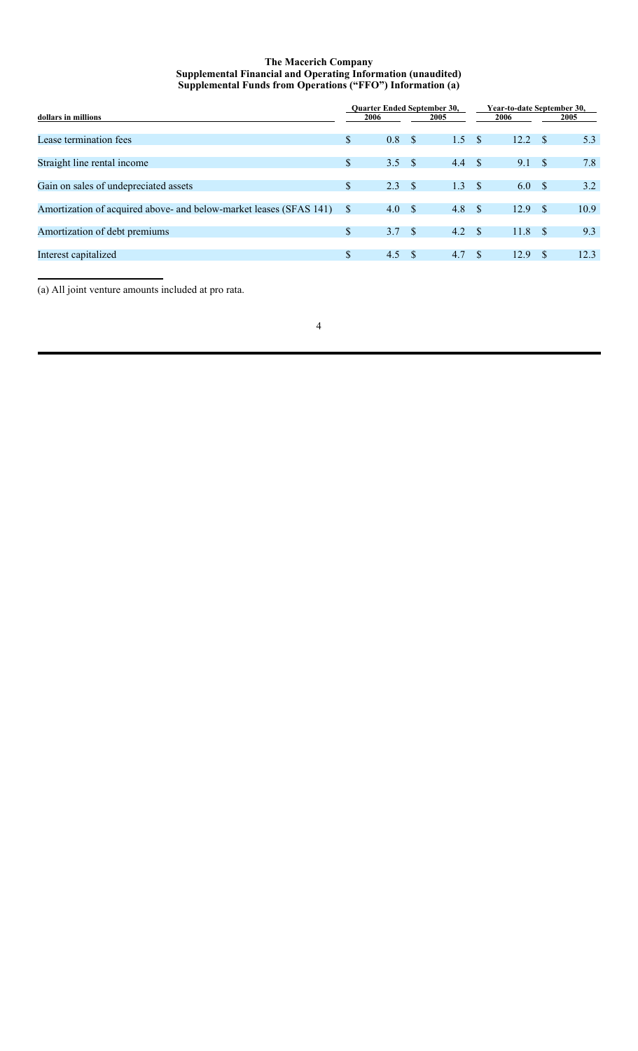### **The Macerich Company Supplemental Financial and Operating Information (unaudited) Supplemental Funds from Operations ("FFO") Information (a)**

| dollars in millions                                                |    | <b>Ouarter Ended September 30,</b><br>2006 |            | 2005 |      | Year-to-date September 30,<br>2006 |              | 2005 |
|--------------------------------------------------------------------|----|--------------------------------------------|------------|------|------|------------------------------------|--------------|------|
| Lease termination fees                                             | \$ | 0.8                                        | $^{\circ}$ | 1.5  | - \$ | 12.2                               | -S           | 5.3  |
| Straight line rental income                                        | \$ | 3.5 <sup>5</sup>                           |            | 4.4  | S S  | 9.1                                | <sup>S</sup> | 7.8  |
| Gain on sales of undepreciated assets                              | \$ | 2.3                                        | $^{\circ}$ | 1.3  | - S  | 6.0                                | -S           | 3.2  |
| Amortization of acquired above- and below-market leases (SFAS 141) | S  | 4.0                                        | $^{\circ}$ | 4.8  | - \$ | 12.9                               | -S           | 10.9 |
| Amortization of debt premiums                                      | \$ | 3.7 <sup>5</sup>                           |            | 4.2  | - \$ | 11.8                               | -S           | 9.3  |
| Interest capitalized                                               | \$ | 4.5                                        | - S        | 4.7  | - \$ | 12.9                               | -S           | 12.3 |

(a) All joint venture amounts included at pro rata.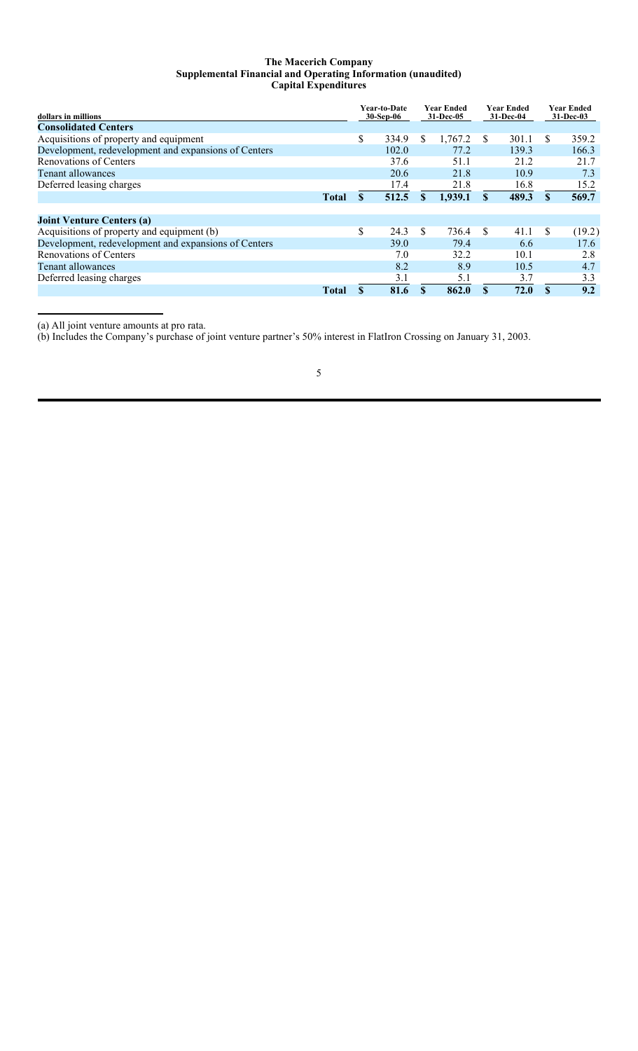### **The Macerich Company Supplemental Financial and Operating Information (unaudited) Capital Expenditures**

| dollars in millions                                  |              | Year-to-Date<br>30-Sep-06 |     | Year Ended<br>31-Dec-05 |              | Year Ended<br>31-Dec-04 |     | Year Ended<br>$31 - Dec-03$ |
|------------------------------------------------------|--------------|---------------------------|-----|-------------------------|--------------|-------------------------|-----|-----------------------------|
| <b>Consolidated Centers</b>                          |              |                           |     |                         |              |                         |     |                             |
| Acquisitions of property and equipment               |              | \$<br>334.9               | \$  | 1,767.2                 | <b>S</b>     | 301.1                   | S.  | 359.2                       |
| Development, redevelopment and expansions of Centers |              | 102.0                     |     | 77.2                    |              | 139.3                   |     | 166.3                       |
| Renovations of Centers                               |              | 37.6                      |     | 51.1                    |              | 21.2                    |     | 21.7                        |
| Tenant allowances                                    |              | 20.6                      |     | 21.8                    |              | 10.9                    |     | 7.3                         |
| Deferred leasing charges                             |              | 17.4                      |     | 21.8                    |              | 16.8                    |     | 15.2                        |
|                                                      | <b>Total</b> | 512.5                     | \$  | 1,939.1                 | $\mathbf{s}$ | 489.3                   | S.  | 569.7                       |
|                                                      |              |                           |     |                         |              |                         |     |                             |
| <b>Joint Venture Centers (a)</b>                     |              |                           |     |                         |              |                         |     |                             |
| Acquisitions of property and equipment (b)           |              | \$<br>24.3                | \$. | 736.4                   | -S           | 41.1                    | \$. | (19.2)                      |
| Development, redevelopment and expansions of Centers |              | 39.0                      |     | 79.4                    |              | 6.6                     |     | 17.6                        |
| Renovations of Centers                               |              | 7.0                       |     | 32.2                    |              | 10.1                    |     | 2.8                         |
| Tenant allowances                                    |              | 8.2                       |     | 8.9                     |              | 10.5                    |     | 4.7                         |
| Deferred leasing charges                             |              | 3.1                       |     | 5.1                     |              | 3.7                     |     | 3.3                         |
|                                                      | Total        | 81.6                      |     | 862.0                   | S            | 72.0                    | \$  | 9.2                         |

(a) All joint venture amounts at pro rata.

(b) Includes the Company's purchase of joint venture partner's 50% interest in FlatIron Crossing on January 31, 2003.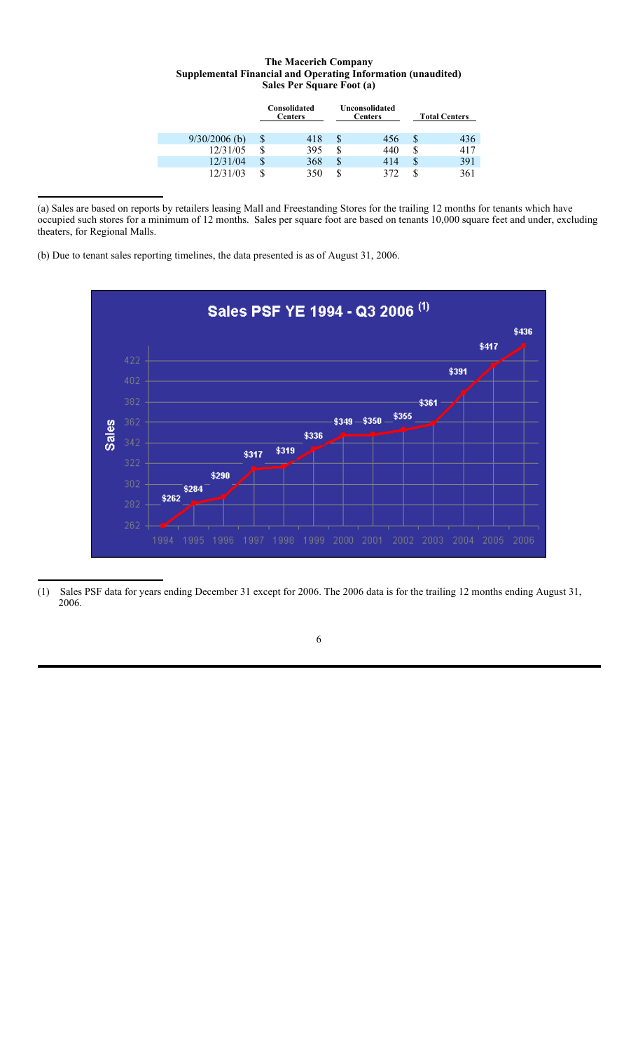### **The Macerich Company Supplemental Financial and Operating Information (unaudited) Sales Per Square Foot (a)**

|                 | Consolidated<br><b>Centers</b> |   | Unconsolidated<br><b>Centers</b> |   | <b>Total Centers</b> |
|-----------------|--------------------------------|---|----------------------------------|---|----------------------|
| $9/30/2006$ (b) | 418                            | S | 456                              |   | 436                  |
| 12/31/05        | 395                            | S | 440                              |   | 417                  |
| 12/31/04        | \$<br>368                      | S | 414                              | S | 391                  |
| 12/31/03        | 350                            |   | 372                              |   | 361                  |

(a) Sales are based on reports by retailers leasing Mall and Freestanding Stores for the trailing 12 months for tenants which have occupied such stores for a minimum of 12 months. Sales per square foot are based on tenants 10,000 square feet and under, excluding theaters, for Regional Malls.

(b) Due to tenant sales reporting timelines, the data presented is as of August 31, 2006.



<sup>(1)</sup> Sales PSF data for years ending December 31 except for 2006. The 2006 data is for the trailing 12 months ending August 31, 2006.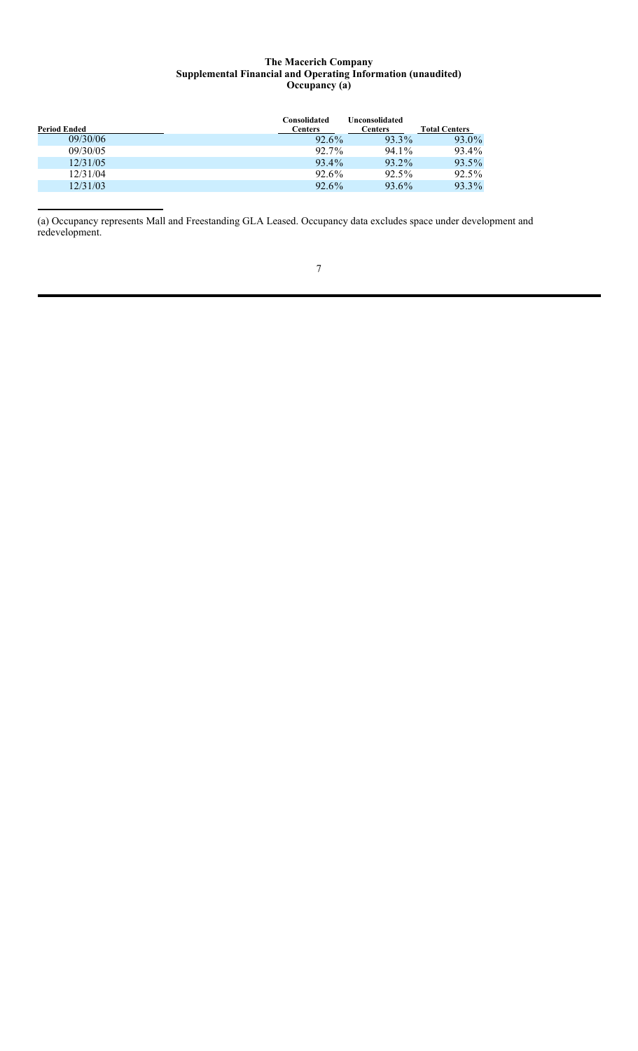### **The Macerich Company Supplemental Financial and Operating Information (unaudited) Occupancy (a)**

| <b>Period Ended</b> | Consolidated<br><b>Centers</b> | Unconsolidated<br><b>Centers</b> | <b>Total Centers</b> |
|---------------------|--------------------------------|----------------------------------|----------------------|
| 09/30/06            | 92.6%                          | 93.3%                            | 93.0%                |
| 09/30/05            | 92.7%                          | 94.1%                            | 93.4%                |
| 12/31/05            | 93.4%                          | 93.2%                            | 93.5%                |
| 12/31/04            | 92.6%                          | $92.5\%$                         | $92.5\%$             |
| 12/31/03            | $92.6\%$                       | 93.6%                            | 93.3%                |

(a) Occupancy represents Mall and Freestanding GLA Leased. Occupancy data excludes space under development and redevelopment.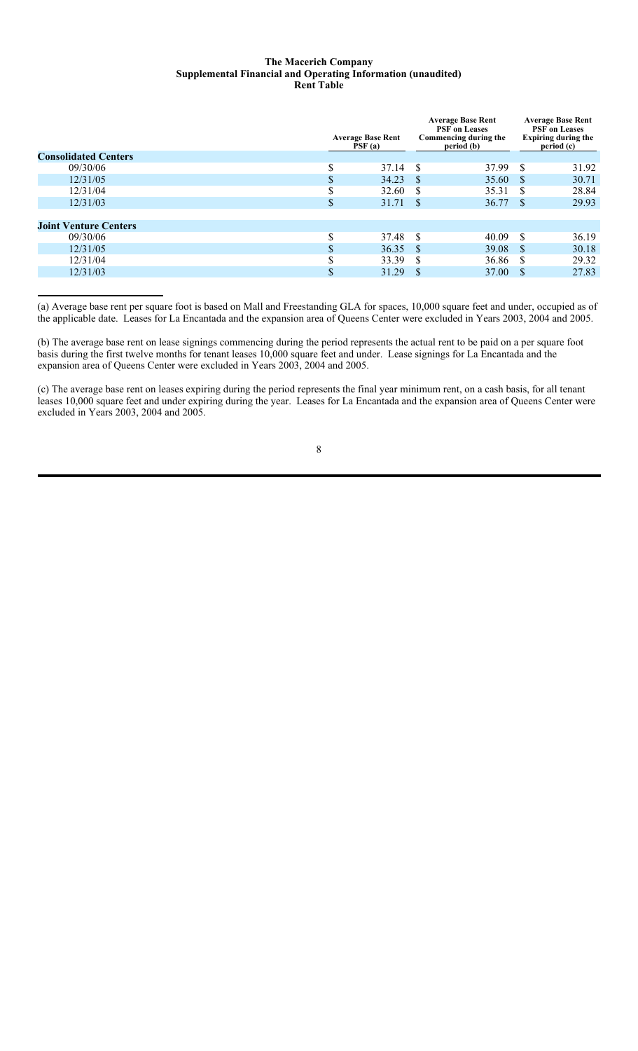### **The Macerich Company Supplemental Financial and Operating Information (unaudited) Rent Table**

|                              |   | <b>Average Base Rent</b><br>$\overline{PSF}(a)$ | <b>Average Base Rent</b><br><b>PSF</b> on Leases<br>Commencing during the<br>period (b) | <b>Average Base Rent</b><br><b>PSF</b> on Leases<br><b>Expiring during the</b><br>period (c) |       |  |
|------------------------------|---|-------------------------------------------------|-----------------------------------------------------------------------------------------|----------------------------------------------------------------------------------------------|-------|--|
| <b>Consolidated Centers</b>  |   |                                                 |                                                                                         |                                                                                              |       |  |
| 09/30/06                     |   | 37.14                                           | 37.99<br>-S                                                                             | <sup>\$</sup>                                                                                | 31.92 |  |
| 12/31/05                     |   | 34.23                                           | 35.60<br>- \$                                                                           | -S                                                                                           | 30.71 |  |
| 12/31/04                     |   | 32.60                                           | 35.31<br><b>S</b>                                                                       | -S                                                                                           | 28.84 |  |
| 12/31/03                     |   | 31.71                                           | 36.77<br>-S                                                                             | -S                                                                                           | 29.93 |  |
|                              |   |                                                 |                                                                                         |                                                                                              |       |  |
| <b>Joint Venture Centers</b> |   |                                                 |                                                                                         |                                                                                              |       |  |
| 09/30/06                     | ጦ | 37.48                                           | -S<br>40.09                                                                             | <sup>\$</sup>                                                                                | 36.19 |  |
| 12/31/05                     |   | 36.35                                           | 39.08<br>-S                                                                             | -S                                                                                           | 30.18 |  |
| 12/31/04                     |   | 33.39                                           | 36.86<br>-S                                                                             |                                                                                              | 29.32 |  |
| 12/31/03                     |   | 31.29                                           | 37.00<br><sup>S</sup>                                                                   | <sup>\$</sup>                                                                                | 27.83 |  |
|                              |   |                                                 |                                                                                         |                                                                                              |       |  |

(a) Average base rent per square foot is based on Mall and Freestanding GLA for spaces, 10,000 square feet and under, occupied as of the applicable date. Leases for La Encantada and the expansion area of Queens Center were excluded in Years 2003, 2004 and 2005.

(b) The average base rent on lease signings commencing during the period represents the actual rent to be paid on a per square foot basis during the first twelve months for tenant leases 10,000 square feet and under. Lease signings for La Encantada and the expansion area of Queens Center were excluded in Years 2003, 2004 and 2005.

(c) The average base rent on leases expiring during the period represents the final year minimum rent, on a cash basis, for all tenant leases 10,000 square feet and under expiring during the year. Leases for La Encantada and the expansion area of Queens Center were excluded in Years 2003, 2004 and 2005.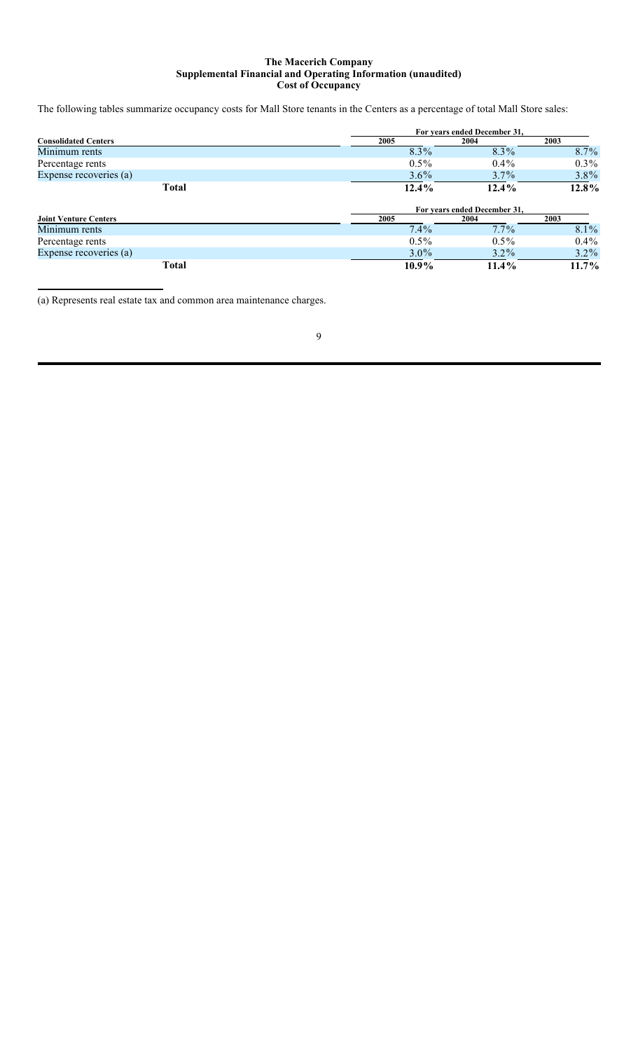### **The Macerich Company Supplemental Financial and Operating Information (unaudited) Cost of Occupancy**

The following tables summarize occupancy costs for Mall Store tenants in the Centers as a percentage of total Mall Store sales:

|                              | For years ended December 31, |                              |         |  |  |  |
|------------------------------|------------------------------|------------------------------|---------|--|--|--|
| <b>Consolidated Centers</b>  | 2005                         | 2004                         | 2003    |  |  |  |
| Minimum rents                | 8.3%                         | 8.3%                         | 8.7%    |  |  |  |
| Percentage rents             | $0.5\%$                      | $0.4\%$                      | $0.3\%$ |  |  |  |
| Expense recoveries (a)       | $3.6\%$                      | 3.7%                         | 3.8%    |  |  |  |
| <b>Total</b>                 | $12.4\%$                     | $12.4\%$                     | 12.8%   |  |  |  |
|                              |                              |                              |         |  |  |  |
|                              |                              | For years ended December 31, |         |  |  |  |
| <b>Joint Venture Centers</b> | 2005                         | 2004                         | 2003    |  |  |  |
| Minimum rents                | $7.4\%$                      | $7.7\%$                      | 8.1%    |  |  |  |
| Percentage rents             | $0.5\%$                      | $0.5\%$                      | $0.4\%$ |  |  |  |
| Expense recoveries (a)       | $3.0\%$                      | $3.2\%$                      | $3.2\%$ |  |  |  |

(a) Represents real estate tax and common area maintenance charges.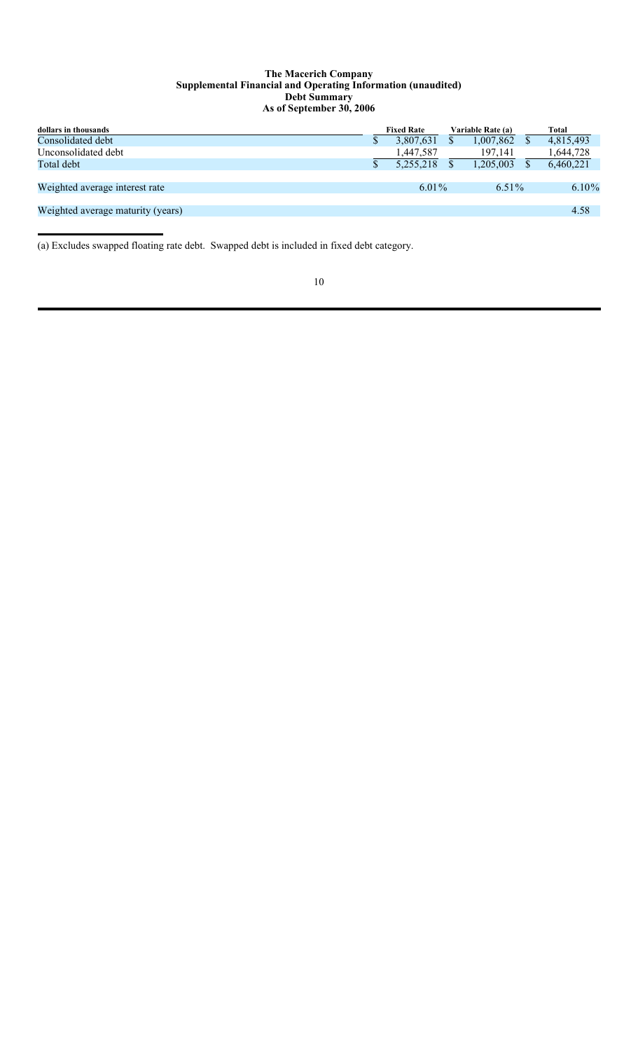### **The Macerich Company Supplemental Financial and Operating Information (unaudited) Debt Summary As of September 30, 2006**

| dollars in thousands              | <b>Fixed Rate</b> | Variable Rate (a) | Total     |
|-----------------------------------|-------------------|-------------------|-----------|
| Consolidated debt                 | 3,807,631         | 1,007,862         | 4,815,493 |
| Unconsolidated debt               | 1,447,587         | 197,141           | 1,644,728 |
| Total debt                        | 5.255.218         | 1,205,003         | 6,460,221 |
|                                   |                   |                   |           |
| Weighted average interest rate    | $6.01\%$          | 6.51\%            | $6.10\%$  |
|                                   |                   |                   |           |
| Weighted average maturity (years) |                   |                   | 4.58      |
|                                   |                   |                   |           |

(a) Excludes swapped floating rate debt. Swapped debt is included in fixed debt category.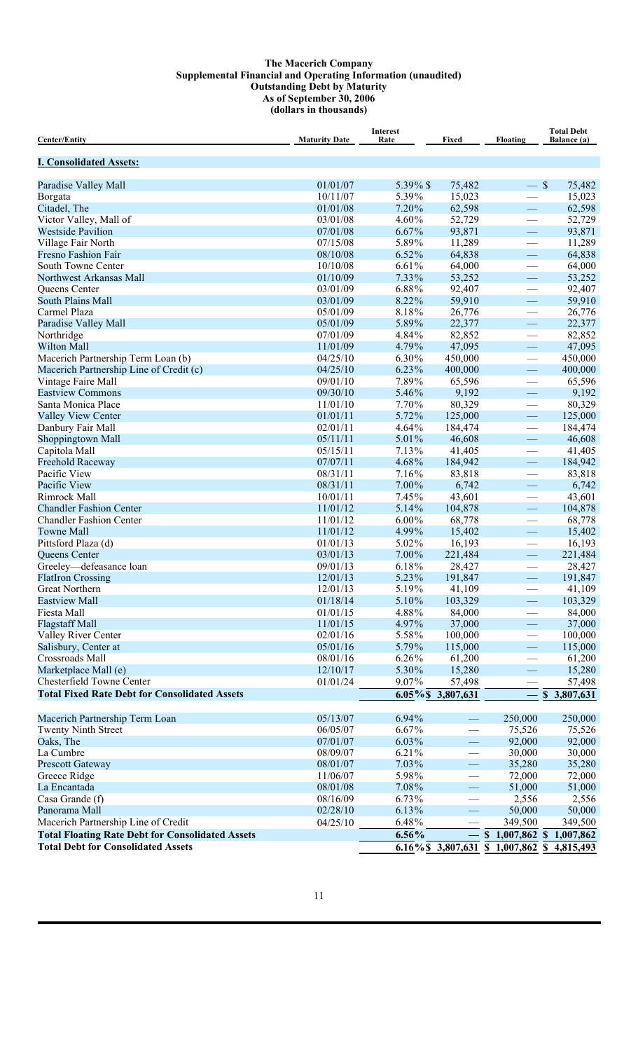### **The Macerich Company Supplemental Financial and Operating Information (unaudited) Outstanding Debt by Maturity As of September 30, 2006 (dollars in thousands)**

| <b>Center/Entity</b>                                    | <b>Maturity Date</b> | <b>Interest</b><br>Rate | Fixed                    | <b>Floating</b>                           | <b>Total Debt</b><br><b>Balance</b> (a) |
|---------------------------------------------------------|----------------------|-------------------------|--------------------------|-------------------------------------------|-----------------------------------------|
| <b>I. Consolidated Assets:</b>                          |                      |                         |                          |                                           |                                         |
| Paradise Valley Mall                                    | 01/01/07             | 5.39% \$                | 75,482                   | $-$ \$                                    | 75,482                                  |
| Borgata                                                 | 10/11/07             | 5.39%                   | 15,023                   |                                           | 15,023                                  |
| Citadel, The                                            | 01/01/08             | 7.20%                   | 62,598                   | $\overline{\phantom{m}}$                  | 62,598                                  |
| Victor Valley, Mall of                                  | 03/01/08             | 4.60%                   | 52,729                   |                                           | 52,729                                  |
| <b>Westside Pavilion</b>                                | 07/01/08             | 6.67%                   | 93,871                   | $\overline{\phantom{0}}$                  | 93,871                                  |
| Village Fair North                                      | 07/15/08             | 5.89%                   | 11,289                   | $\overline{\phantom{0}}$                  | 11,289                                  |
| Fresno Fashion Fair                                     | 08/10/08             | 6.52%                   | 64,838                   | $\overline{\phantom{0}}$                  | 64,838                                  |
| South Towne Center                                      | 10/10/08             | 6.61%                   | 64,000                   |                                           | 64,000                                  |
| Northwest Arkansas Mall                                 | 01/10/09             | 7.33%                   | 53,252                   | $\overline{\phantom{0}}$                  | 53,252                                  |
| Queens Center                                           | 03/01/09             | 6.88%                   | 92,407                   |                                           | 92,407                                  |
| <b>South Plains Mall</b>                                | 03/01/09             | 8.22%                   | 59,910                   |                                           | 59,910                                  |
| Carmel Plaza                                            | 05/01/09             | 8.18%                   | 26,776                   |                                           | 26,776                                  |
| Paradise Valley Mall                                    | 05/01/09             | 5.89%                   | 22,377                   |                                           | 22,377                                  |
| Northridge                                              | 07/01/09             | 4.84%                   | 82,852                   |                                           | 82,852                                  |
| <b>Wilton Mall</b>                                      | 11/01/09             | 4.79%                   | 47,095                   | $\overline{\phantom{0}}$                  | 47,095                                  |
| Macerich Partnership Term Loan (b)                      | 04/25/10             | 6.30%                   | 450,000                  |                                           | 450,000                                 |
| Macerich Partnership Line of Credit (c)                 | 04/25/10             | 6.23%                   | 400,000                  | $\equiv$                                  | 400,000                                 |
| Vintage Faire Mall                                      | 09/01/10             | 7.89%                   | 65,596                   |                                           | 65,596                                  |
| <b>Eastview Commons</b>                                 | 09/30/10             | 5.46%                   | 9,192                    |                                           | 9,192                                   |
| Santa Monica Place                                      | 11/01/10             | 7.70%                   | 80,329                   | $\overline{\phantom{0}}$                  | 80,329                                  |
| Valley View Center                                      | 01/01/11             | 5.72%                   | 125,000                  | $\qquad \qquad -$                         | 125,000                                 |
| Danbury Fair Mall                                       | 02/01/11             | 4.64%                   | 184,474                  | $\qquad \qquad$                           | 184,474                                 |
| Shoppingtown Mall                                       | 05/11/11             | 5.01%                   | 46,608                   |                                           | 46,608                                  |
| Capitola Mall                                           | 05/15/11             | 7.13%                   | 41,405                   |                                           | 41,405                                  |
| <b>Freehold Raceway</b>                                 | 07/07/11             | 4.68%                   | 184,942                  |                                           | 184,942                                 |
| Pacific View                                            | 08/31/11             | 7.16%                   | 83,818                   | $\overbrace{\qquad \qquad }^{ }$          | 83,818                                  |
| Pacific View                                            | 08/31/11             | 7.00%                   | 6,742                    | $\equiv$                                  | 6,742                                   |
| Rimrock Mall                                            | 10/01/11             | 7.45%                   | 43,601                   |                                           | 43,601                                  |
| <b>Chandler Fashion Center</b>                          | 11/01/12             | 5.14%                   | 104,878                  |                                           | 104,878                                 |
| <b>Chandler Fashion Center</b>                          | 11/01/12             | $6.00\%$                | 68,778                   |                                           | 68,778                                  |
| <b>Towne Mall</b>                                       | 11/01/12             | 4.99%                   | 15,402                   |                                           | 15,402                                  |
| Pittsford Plaza (d)                                     | 01/01/13             | 5.02%                   | 16,193                   | $\overline{\phantom{0}}$                  | 16,193                                  |
| Queens Center                                           | 03/01/13             | 7.00%                   | 221,484                  |                                           | 221,484                                 |
| Greeley-defeasance loan                                 | 09/01/13             | 6.18%                   | 28,427                   |                                           | 28,427                                  |
| <b>FlatIron Crossing</b>                                | 12/01/13             | 5.23%                   | 191,847                  |                                           | 191,847                                 |
| Great Northern                                          | 12/01/13             | 5.19%                   | 41,109                   |                                           | 41,109                                  |
| <b>Eastview Mall</b>                                    | 01/18/14             | 5.10%                   | 103,329                  | —                                         | 103,329                                 |
| Fiesta Mall                                             | 01/01/15             | 4.88%                   | 84,000                   |                                           | 84,000                                  |
| <b>Flagstaff Mall</b>                                   | 11/01/15<br>02/01/16 | 4.97%                   | 37,000                   | $\overline{\phantom{0}}$                  | 37,000                                  |
| Valley River Center<br>Salisbury, Center at             | 05/01/16             | 5.58%<br>5.79%          | 100,000<br>115,000       | $\overline{\phantom{0}}$                  | 100,000<br>115,000                      |
| Crossroads Mall                                         | 08/01/16             | $6.26\%$                | 61,200                   |                                           | 61,200                                  |
| Marketplace Mall (e)                                    | 12/10/17             | 5.30%                   | 15,280                   |                                           | 15,280                                  |
| Chesterfield Towne Center                               | 01/01/24             | 9.07%                   | 57,498                   |                                           | 57,498                                  |
| <b>Total Fixed Rate Debt for Consolidated Assets</b>    |                      |                         | 6.05%\$ 3,807,631        | $\overline{\phantom{0}}$                  | \$3,807,631                             |
|                                                         |                      |                         |                          |                                           |                                         |
| Macerich Partnership Term Loan                          | 05/13/07             | 6.94%                   |                          | 250,000                                   | 250,000                                 |
| <b>Twenty Ninth Street</b>                              | 06/05/07             | 6.67%                   | $\overline{\phantom{0}}$ | 75,526                                    | 75,526                                  |
| Oaks, The                                               | 07/01/07             | $6.03\%$                | $\equiv$                 | 92,000                                    | 92,000                                  |
| La Cumbre                                               | 08/09/07             | 6.21%                   | $\overline{\phantom{0}}$ | 30,000                                    | 30,000                                  |
| <b>Prescott Gateway</b>                                 | 08/01/07             | 7.03%                   | $\overline{\phantom{0}}$ | 35,280                                    | 35,280                                  |
| Greece Ridge                                            | 11/06/07             | 5.98%                   | $\qquad \qquad$          | 72,000                                    | 72,000                                  |
| La Encantada                                            | 08/01/08             | 7.08%                   | $\overline{\phantom{0}}$ | 51,000                                    | 51,000                                  |
| Casa Grande (f)                                         | 08/16/09             | 6.73%                   |                          | 2,556                                     | 2,556                                   |
| Panorama Mall                                           | 02/28/10             | 6.13%                   |                          | 50,000                                    | 50,000                                  |
| Macerich Partnership Line of Credit                     | 04/25/10             | 6.48%                   |                          | 349,500                                   | 349,500                                 |
| <b>Total Floating Rate Debt for Consolidated Assets</b> |                      | $6.56\%$                |                          | $$1,007,862$ \$                           | 1,007,862                               |
| <b>Total Debt for Consolidated Assets</b>               |                      |                         |                          | 6.16% \$3,807,631 \$1,007,862 \$4,815,493 |                                         |